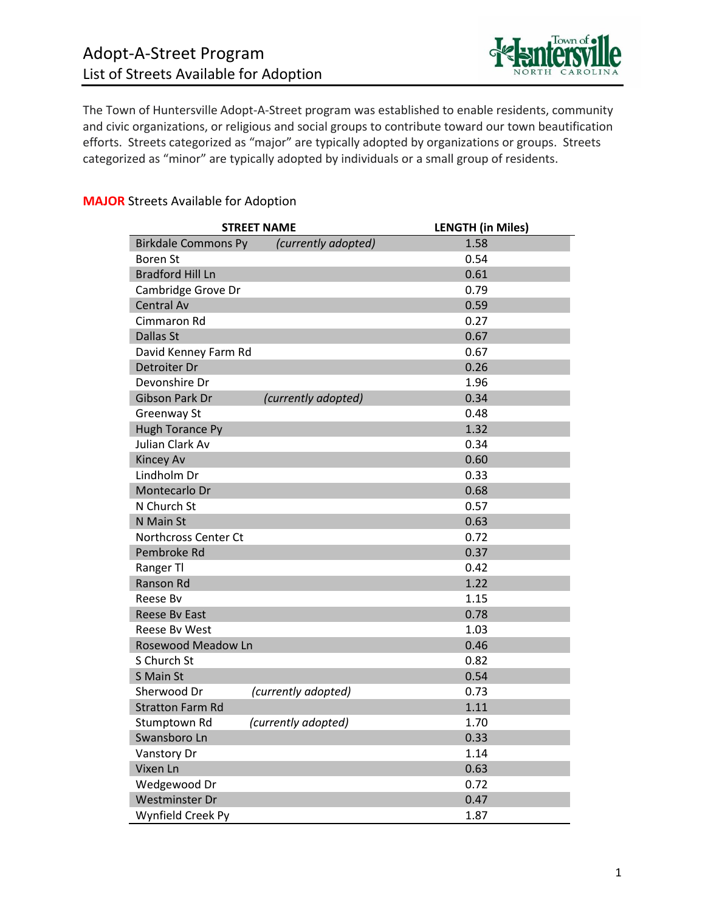

The Town of Huntersville Adopt-A-Street program was established to enable residents, community and civic organizations, or religious and social groups to contribute toward our town beautification efforts. Streets categorized as "major" are typically adopted by organizations or groups. Streets categorized as "minor" are typically adopted by individuals or a small group of residents.

## **MAJOR** Streets Available for Adoption

| <b>STREET NAME</b>         |                     | <b>LENGTH (in Miles)</b> |
|----------------------------|---------------------|--------------------------|
| <b>Birkdale Commons Py</b> | (currently adopted) | 1.58                     |
| <b>Boren St</b>            |                     | 0.54                     |
| <b>Bradford Hill Ln</b>    |                     | 0.61                     |
| Cambridge Grove Dr         |                     | 0.79                     |
| <b>Central Av</b>          |                     | 0.59                     |
| Cimmaron Rd                |                     | 0.27                     |
| Dallas St                  |                     | 0.67                     |
| David Kenney Farm Rd       |                     | 0.67                     |
| Detroiter Dr               |                     | 0.26                     |
| Devonshire Dr              |                     | 1.96                     |
| <b>Gibson Park Dr</b>      | (currently adopted) | 0.34                     |
| Greenway St                |                     | 0.48                     |
| <b>Hugh Torance Py</b>     |                     | 1.32                     |
| Julian Clark Av            |                     | 0.34                     |
| <b>Kincey Av</b>           |                     | 0.60                     |
| Lindholm Dr                |                     | 0.33                     |
| Montecarlo Dr              |                     | 0.68                     |
| N Church St                |                     | 0.57                     |
| N Main St                  |                     | 0.63                     |
| Northcross Center Ct       |                     | 0.72                     |
| Pembroke Rd                |                     | 0.37                     |
| Ranger Tl                  |                     | 0.42                     |
| Ranson Rd                  |                     | 1.22                     |
| Reese By                   |                     | 1.15                     |
| Reese By East              |                     | 0.78                     |
| Reese By West              |                     | 1.03                     |
| <b>Rosewood Meadow Ln</b>  |                     | 0.46                     |
| S Church St                |                     | 0.82                     |
| S Main St                  |                     | 0.54                     |
| Sherwood Dr                | (currently adopted) | 0.73                     |
| <b>Stratton Farm Rd</b>    |                     | 1.11                     |
| Stumptown Rd               | (currently adopted) | 1.70                     |
| Swansboro Ln               |                     | 0.33                     |
| Vanstory Dr                |                     | 1.14                     |
| Vixen Ln                   |                     | 0.63                     |
| Wedgewood Dr               |                     | 0.72                     |
| <b>Westminster Dr</b>      |                     | 0.47                     |
| Wynfield Creek Py          |                     | 1.87                     |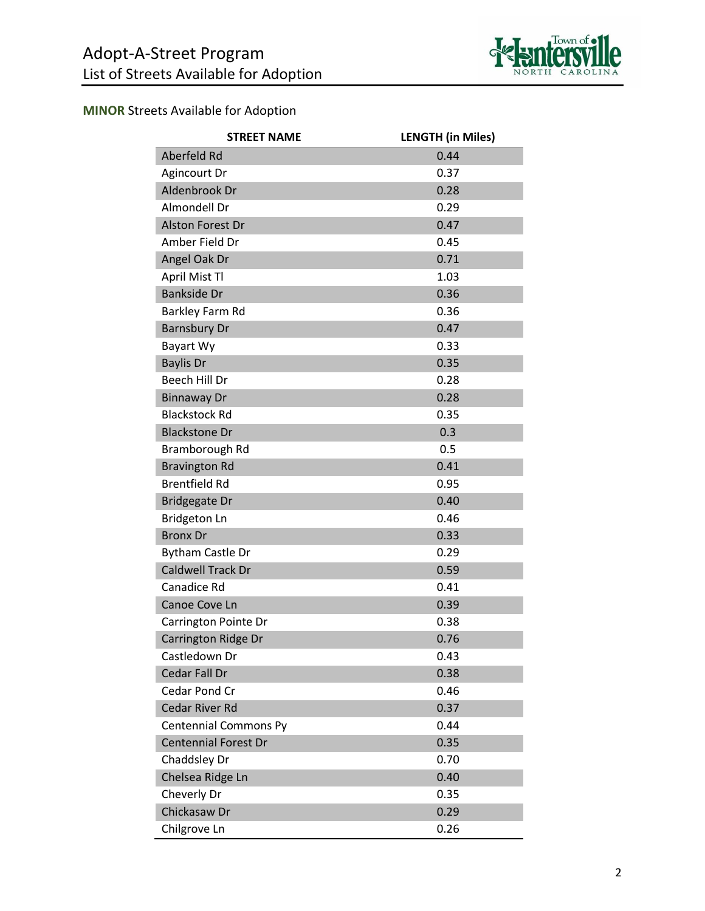

# **MINOR** Streets Available for Adoption

| <b>STREET NAME</b>           | <b>LENGTH (in Miles)</b> |
|------------------------------|--------------------------|
| Aberfeld Rd                  | 0.44                     |
| Agincourt Dr                 | 0.37                     |
| Aldenbrook Dr                | 0.28                     |
| Almondell Dr                 | 0.29                     |
| <b>Alston Forest Dr</b>      | 0.47                     |
| Amber Field Dr               | 0.45                     |
| Angel Oak Dr                 | 0.71                     |
| April Mist Tl                | 1.03                     |
| <b>Bankside Dr</b>           | 0.36                     |
| Barkley Farm Rd              | 0.36                     |
| <b>Barnsbury Dr</b>          | 0.47                     |
| Bayart Wy                    | 0.33                     |
| <b>Baylis Dr</b>             | 0.35                     |
| Beech Hill Dr                | 0.28                     |
| <b>Binnaway Dr</b>           | 0.28                     |
| <b>Blackstock Rd</b>         | 0.35                     |
| <b>Blackstone Dr</b>         | 0.3                      |
| Bramborough Rd               | 0.5                      |
| <b>Bravington Rd</b>         | 0.41                     |
| <b>Brentfield Rd</b>         | 0.95                     |
| <b>Bridgegate Dr</b>         | 0.40                     |
| Bridgeton Ln                 | 0.46                     |
| <b>Bronx Dr</b>              | 0.33                     |
| Bytham Castle Dr             | 0.29                     |
| <b>Caldwell Track Dr</b>     | 0.59                     |
| Canadice Rd                  | 0.41                     |
| Canoe Cove Ln                | 0.39                     |
| Carrington Pointe Dr         | 0.38                     |
| Carrington Ridge Dr          | 0.76                     |
| Castledown Dr                | 0.43                     |
| Cedar Fall Dr                | 0.38                     |
| Cedar Pond Cr                | 0.46                     |
| Cedar River Rd               | 0.37                     |
| <b>Centennial Commons Py</b> | 0.44                     |
| <b>Centennial Forest Dr</b>  | 0.35                     |
| Chaddsley Dr                 | 0.70                     |
| Chelsea Ridge Ln             | 0.40                     |
| Cheverly Dr                  | 0.35                     |
| Chickasaw Dr                 | 0.29                     |
| Chilgrove Ln                 | 0.26                     |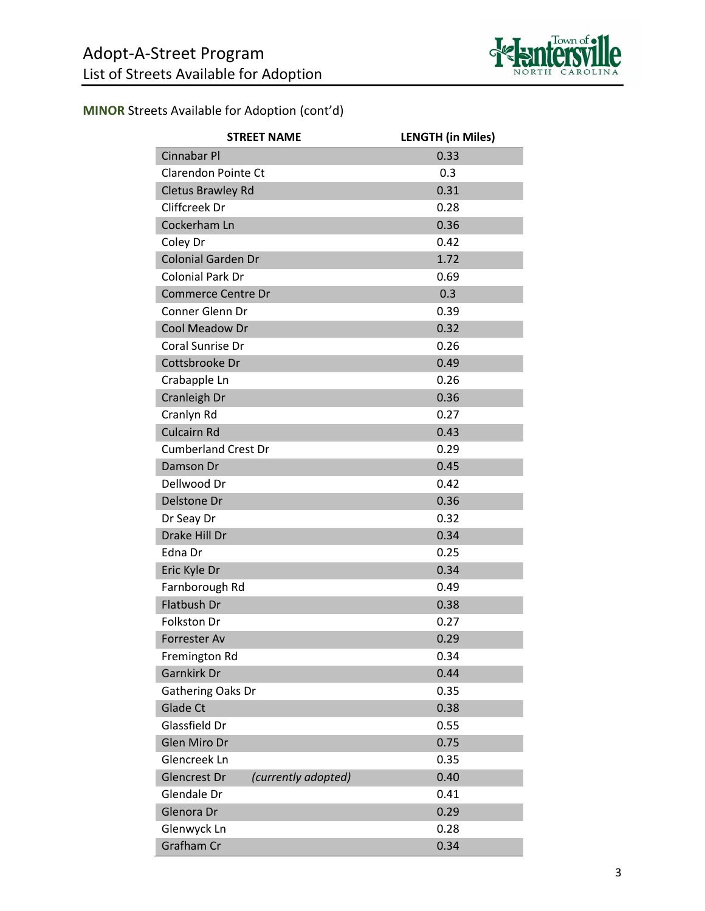

| <b>STREET NAME</b>                         | <b>LENGTH (in Miles)</b> |
|--------------------------------------------|--------------------------|
| Cinnabar Pl                                | 0.33                     |
| <b>Clarendon Pointe Ct</b>                 | 0.3                      |
| <b>Cletus Brawley Rd</b>                   | 0.31                     |
| Cliffcreek Dr                              | 0.28                     |
| Cockerham Ln                               | 0.36                     |
| Coley Dr                                   | 0.42                     |
| Colonial Garden Dr                         | 1.72                     |
| Colonial Park Dr                           | 0.69                     |
| <b>Commerce Centre Dr</b>                  | 0.3                      |
| Conner Glenn Dr                            | 0.39                     |
| Cool Meadow Dr                             | 0.32                     |
| Coral Sunrise Dr                           | 0.26                     |
| Cottsbrooke Dr                             | 0.49                     |
| Crabapple Ln                               | 0.26                     |
| Cranleigh Dr                               | 0.36                     |
| Cranlyn Rd                                 | 0.27                     |
| <b>Culcairn Rd</b>                         | 0.43                     |
| <b>Cumberland Crest Dr</b>                 | 0.29                     |
| Damson Dr                                  | 0.45                     |
| Dellwood Dr                                | 0.42                     |
| Delstone Dr                                | 0.36                     |
| Dr Seay Dr                                 | 0.32                     |
| Drake Hill Dr                              | 0.34                     |
| Edna Dr                                    | 0.25                     |
| Eric Kyle Dr                               | 0.34                     |
| Farnborough Rd                             | 0.49                     |
| <b>Flatbush Dr</b>                         | 0.38                     |
| Folkston Dr                                | 0.27                     |
| Forrester Av                               | 0.29                     |
| Fremington Rd                              | 0.34                     |
| Garnkirk Dr                                | 0.44                     |
| Gathering Oaks Dr                          | 0.35                     |
| <b>Glade Ct</b>                            | 0.38                     |
| Glassfield Dr                              | 0.55                     |
| Glen Miro Dr                               | 0.75                     |
| Glencreek Ln                               | 0.35                     |
| <b>Glencrest Dr</b><br>(currently adopted) | 0.40                     |
| Glendale Dr                                | 0.41                     |
| Glenora Dr                                 | 0.29                     |
| Glenwyck Ln                                | 0.28                     |
| Grafham Cr                                 | 0.34                     |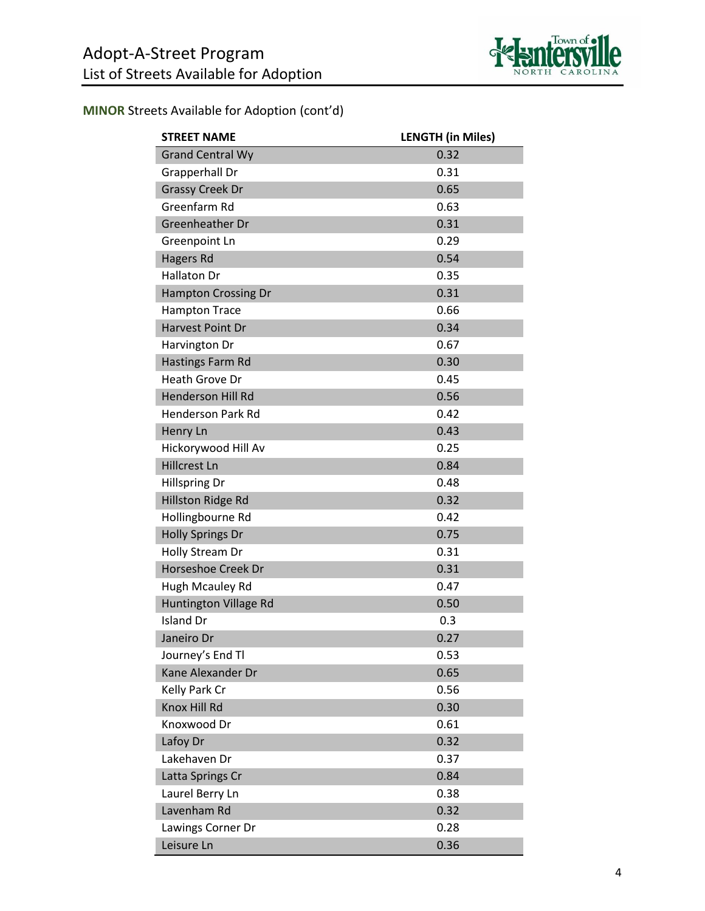

| <b>STREET NAME</b>         | <b>LENGTH (in Miles)</b> |
|----------------------------|--------------------------|
| <b>Grand Central Wy</b>    | 0.32                     |
| Grapperhall Dr             | 0.31                     |
| <b>Grassy Creek Dr</b>     | 0.65                     |
| Greenfarm Rd               | 0.63                     |
| Greenheather Dr            | 0.31                     |
| Greenpoint Ln              | 0.29                     |
| Hagers Rd                  | 0.54                     |
| <b>Hallaton Dr</b>         | 0.35                     |
| <b>Hampton Crossing Dr</b> | 0.31                     |
| <b>Hampton Trace</b>       | 0.66                     |
| Harvest Point Dr           | 0.34                     |
| Harvington Dr              | 0.67                     |
| Hastings Farm Rd           | 0.30                     |
| Heath Grove Dr             | 0.45                     |
| <b>Henderson Hill Rd</b>   | 0.56                     |
| <b>Henderson Park Rd</b>   | 0.42                     |
| Henry Ln                   | 0.43                     |
| Hickorywood Hill Av        | 0.25                     |
| <b>Hillcrest Ln</b>        | 0.84                     |
| <b>Hillspring Dr</b>       | 0.48                     |
| Hillston Ridge Rd          | 0.32                     |
| Hollingbourne Rd           | 0.42                     |
| <b>Holly Springs Dr</b>    | 0.75                     |
| Holly Stream Dr            | 0.31                     |
| Horseshoe Creek Dr         | 0.31                     |
| Hugh Mcauley Rd            | 0.47                     |
| Huntington Village Rd      | 0.50                     |
| <b>Island Dr</b>           | 0.3                      |
| Janeiro Dr                 | 0.27                     |
| Journey's End Tl           | 0.53                     |
| Kane Alexander Dr          | 0.65                     |
| Kelly Park Cr              | 0.56                     |
| Knox Hill Rd               | 0.30                     |
| Knoxwood Dr                | 0.61                     |
| Lafoy Dr                   | 0.32                     |
| Lakehaven Dr               | 0.37                     |
| Latta Springs Cr           | 0.84                     |
| Laurel Berry Ln            | 0.38                     |
| Lavenham Rd                | 0.32                     |
| Lawings Corner Dr          | 0.28                     |
| Leisure Ln                 | 0.36                     |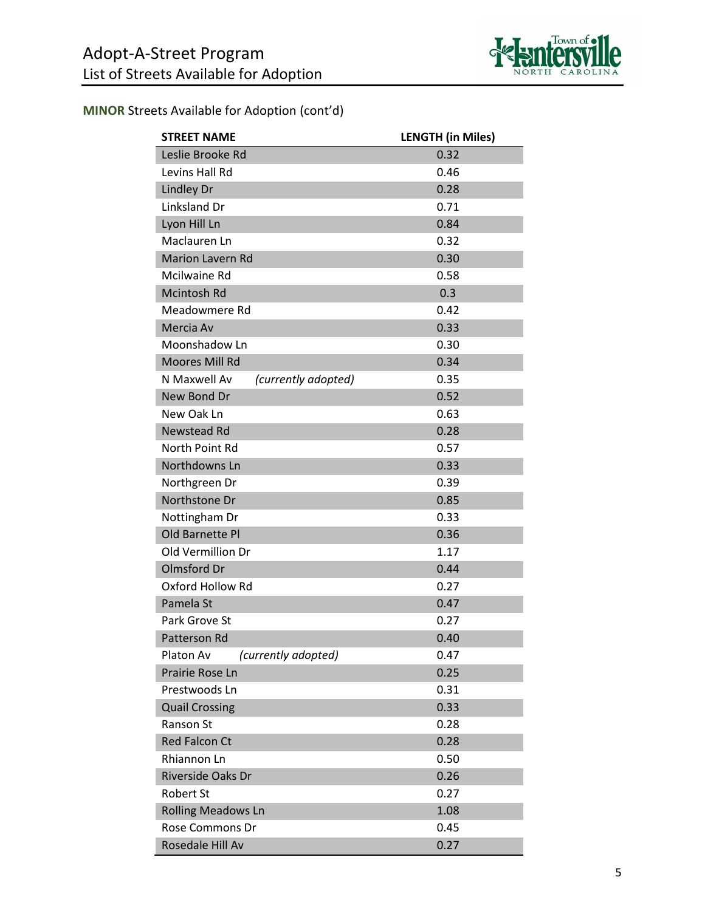

| <b>STREET NAME</b>                  | <b>LENGTH (in Miles)</b> |
|-------------------------------------|--------------------------|
| Leslie Brooke Rd                    | 0.32                     |
| Levins Hall Rd                      | 0.46                     |
| <b>Lindley Dr</b>                   | 0.28                     |
| Linksland Dr                        | 0.71                     |
| Lyon Hill Ln                        | 0.84                     |
| Maclauren Ln                        | 0.32                     |
| <b>Marion Lavern Rd</b>             | 0.30                     |
| Mcilwaine Rd                        | 0.58                     |
| Mcintosh Rd                         | 0.3                      |
| Meadowmere Rd                       | 0.42                     |
| Mercia Av                           | 0.33                     |
| Moonshadow Ln                       | 0.30                     |
| Moores Mill Rd                      | 0.34                     |
| N Maxwell Av<br>(currently adopted) | 0.35                     |
| New Bond Dr                         | 0.52                     |
| New Oak Ln                          | 0.63                     |
| Newstead Rd                         | 0.28                     |
| North Point Rd                      | 0.57                     |
| Northdowns Ln                       | 0.33                     |
| Northgreen Dr                       | 0.39                     |
| Northstone Dr                       | 0.85                     |
| Nottingham Dr                       | 0.33                     |
| Old Barnette Pl                     | 0.36                     |
| Old Vermillion Dr                   | 1.17                     |
| <b>Olmsford Dr</b>                  | 0.44                     |
| Oxford Hollow Rd                    | 0.27                     |
| Pamela St                           | 0.47                     |
| Park Grove St                       | 0.27                     |
| Patterson Rd                        | 0.40                     |
| Platon Av<br>(currently adopted)    | 0.47                     |
| Prairie Rose Ln                     | 0.25                     |
| Prestwoods Ln                       | 0.31                     |
| <b>Quail Crossing</b>               | 0.33                     |
| Ranson St                           | 0.28                     |
| <b>Red Falcon Ct</b>                | 0.28                     |
| Rhiannon Ln                         | 0.50                     |
| <b>Riverside Oaks Dr</b>            | 0.26                     |
| <b>Robert St</b>                    | 0.27                     |
| <b>Rolling Meadows Ln</b>           | 1.08                     |
| <b>Rose Commons Dr</b>              | 0.45                     |
| Rosedale Hill Av                    | 0.27                     |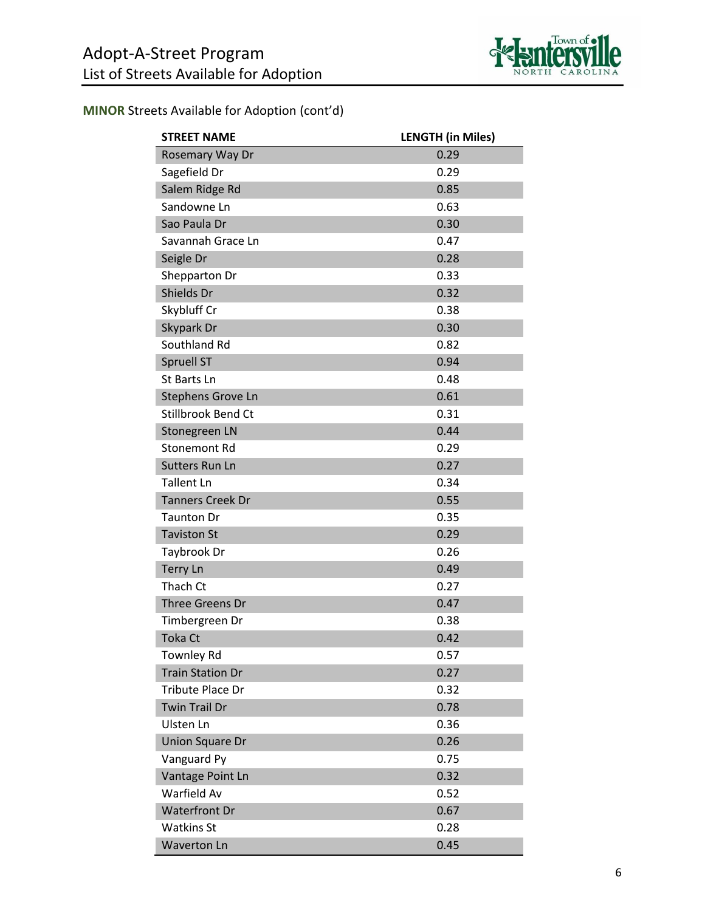

| <b>STREET NAME</b>      | <b>LENGTH (in Miles)</b> |
|-------------------------|--------------------------|
| Rosemary Way Dr         | 0.29                     |
| Sagefield Dr            | 0.29                     |
| Salem Ridge Rd          | 0.85                     |
| Sandowne Ln             | 0.63                     |
| Sao Paula Dr            | 0.30                     |
| Savannah Grace Ln       | 0.47                     |
| Seigle Dr               | 0.28                     |
| Shepparton Dr           | 0.33                     |
| Shields Dr              | 0.32                     |
| Skybluff Cr             | 0.38                     |
| Skypark Dr              | 0.30                     |
| Southland Rd            | 0.82                     |
| <b>Spruell ST</b>       | 0.94                     |
| St Barts Ln             | 0.48                     |
| Stephens Grove Ln       | 0.61                     |
| Stillbrook Bend Ct      | 0.31                     |
| Stonegreen LN           | 0.44                     |
| Stonemont Rd            | 0.29                     |
| <b>Sutters Run Ln</b>   | 0.27                     |
| <b>Tallent Ln</b>       | 0.34                     |
| <b>Tanners Creek Dr</b> | 0.55                     |
| <b>Taunton Dr</b>       | 0.35                     |
| <b>Taviston St</b>      | 0.29                     |
| Taybrook Dr             | 0.26                     |
| <b>Terry Ln</b>         | 0.49                     |
| Thach Ct                | 0.27                     |
| <b>Three Greens Dr</b>  | 0.47                     |
| Timbergreen Dr          | 0.38                     |
| <b>Toka Ct</b>          | 0.42                     |
| <b>Townley Rd</b>       | 0.57                     |
| <b>Train Station Dr</b> | 0.27                     |
| <b>Tribute Place Dr</b> | 0.32                     |
| <b>Twin Trail Dr</b>    | 0.78                     |
| Ulsten Ln               | 0.36                     |
| Union Square Dr         | 0.26                     |
| Vanguard Py             | 0.75                     |
| Vantage Point Ln        | 0.32                     |
| Warfield Av             | 0.52                     |
| <b>Waterfront Dr</b>    | 0.67                     |
| <b>Watkins St</b>       | 0.28                     |
| <b>Waverton Ln</b>      | 0.45                     |